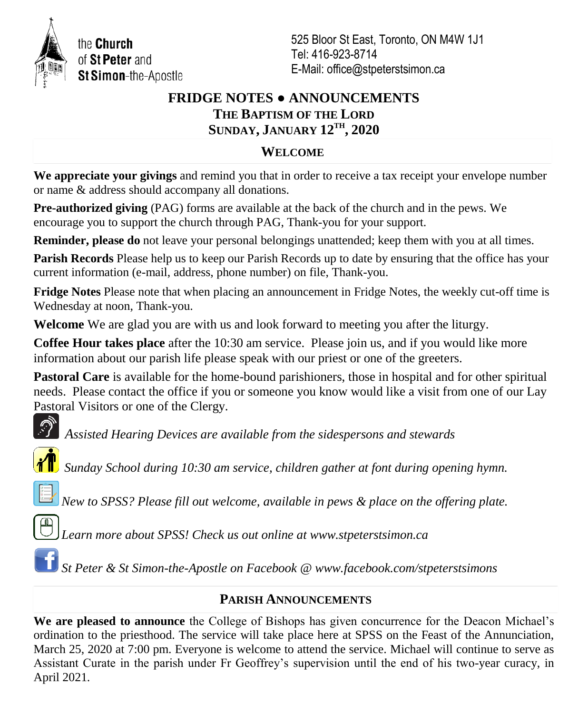

the Church of St Peter and St Simon-the-Apostle 525 Bloor St East, Toronto, ON M4W 1J1 Tel: 416-923-8714 E-Mail: office@stpeterstsimon.ca

# **FRIDGE NOTES ● ANNOUNCEMENTS THE BAPTISM OF THE LORD SUNDAY, JANUARY 12TH , 2020**

## **WELCOME**

**We appreciate your givings** and remind you that in order to receive a tax receipt your envelope number or name & address should accompany all donations.

**Pre-authorized giving** (PAG) forms are available at the back of the church and in the pews. We encourage you to support the church through PAG, Thank-you for your support.

**Reminder, please do** not leave your personal belongings unattended; keep them with you at all times.

**Parish Records** Please help us to keep our Parish Records up to date by ensuring that the office has your current information (e-mail, address, phone number) on file, Thank-you.

**Fridge Notes** Please note that when placing an announcement in Fridge Notes, the weekly cut-off time is Wednesday at noon, Thank-you.

**Welcome** We are glad you are with us and look forward to meeting you after the liturgy.

**Coffee Hour takes place** after the 10:30 am service. Please join us, and if you would like more information about our parish life please speak with our priest or one of the greeters.

**Pastoral Care** is available for the home-bound parishioners, those in hospital and for other spiritual needs. Please contact the office if you or someone you know would like a visit from one of our Lay Pastoral Visitors or one of the Clergy.



*Assisted Hearing Devices are available from the sidespersons and stewards*



*Sunday School during 10:30 am service, children gather at font during opening hymn.*

*New to SPSS? Please fill out welcome, available in pews & place on the offering plate.* 



*Learn more about SPSS! Check us out online at www.stpeterstsimon.ca*

*St Peter & St Simon-the-Apostle on Facebook @ www.facebook.com/stpeterstsimons*

# **PARISH ANNOUNCEMENTS**

**We are pleased to announce** the College of Bishops has given concurrence for the Deacon Michael's ordination to the priesthood. The service will take place here at SPSS on the Feast of the Annunciation, March 25, 2020 at 7:00 pm. Everyone is welcome to attend the service. Michael will continue to serve as Assistant Curate in the parish under Fr Geoffrey's supervision until the end of his two-year curacy, in April 2021.